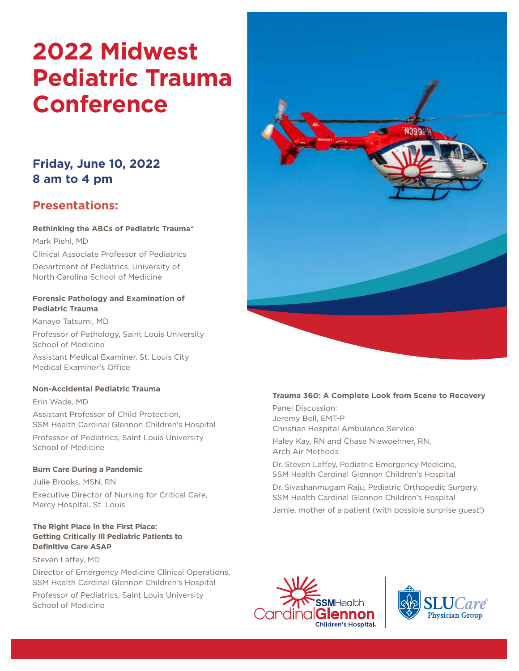# **2022 Midwest Pediatric Trauma Conference**

# **Friday, June 10, 2022 8 am to 4 pm**

# **Presentations:**

## **Rethinking the ABCs of Pediatric Trauma**\*

Mark Piehl, MD

Clinical Associate Professor of Pediatrics Department of Pediatrics, University of North Carolina School of Medicine

#### **Forensic Pathology and Examination of Pediatric Trauma**

Kanayo Tatsumi, MD

Professor of Pathology, Saint Louis University School of Medicine

Assistant Medical Examiner, St. Louis City Medical Examiner's Office

## **Non-Accidental Pediatric Trauma**

Erin Wade, MD Assistant Professor of Child Protection, SSM Health Cardinal Glennon Children's Hospital Professor of Pediatrics, Saint Louis University

School of Medicine

## **Burn Care During a Pandemic**

Julie Brooks, MSN, RN Executive Director of Nursing for Critical Care, Mercy Hospital, St. Louis

#### **The Right Place in the First Place: Getting Critically Ill Pediatric Patients to Definitive Care ASAP**

Steven Laffey, MD

Director of Emergency Medicine Clinical Operations, SSM Health Cardinal Glennon Children's Hospital

Professor of Pediatrics, Saint Louis University School of Medicine



#### **Trauma 360: A Complete Look from Scene to Recovery**

Panel Discussion: Jeremy Bell, EMT-P Christian Hospital Ambulance Service

Haley Kay, RN and Chase Niewoehner, RN, Arch Air Methods

Dr. Steven Laffey, Pediatric Emergency Medicine, SSM Health Cardinal Glennon Children's Hospital

Dr. Sivashanmugam Raju, Pediatric Orthopedic Surgery, SSM Health Cardinal Glennon Children's Hospital

Jamie, mother of a patient (with possible surprise guest!)